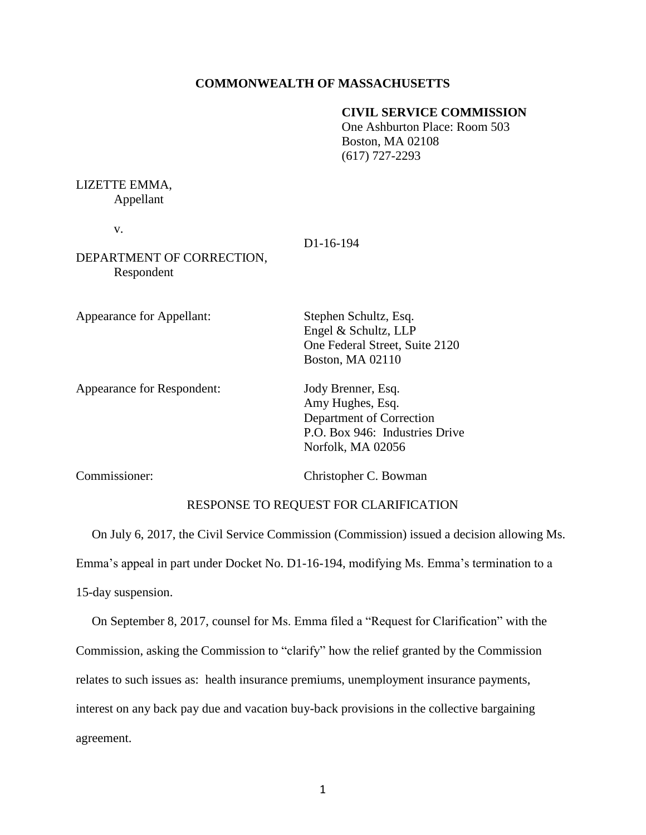## **COMMONWEALTH OF MASSACHUSETTS**

## **CIVIL SERVICE COMMISSION**

One Ashburton Place: Room 503 Boston, MA 02108 (617) 727-2293

## LIZETTE EMMA,

Appellant

v.

D1-16-194

DEPARTMENT OF CORRECTION, Respondent

Appearance for Appellant: Stephen Schultz, Esq.

Appearance for Respondent: Jody Brenner, Esq.

Amy Hughes, Esq. Department of Correction P.O. Box 946: Industries Drive

One Federal Street, Suite 2120

Commissioner: Christopher C. Bowman

Norfolk, MA 02056

Engel & Schultz, LLP

Boston, MA 02110

## RESPONSE TO REQUEST FOR CLARIFICATION

On July 6, 2017, the Civil Service Commission (Commission) issued a decision allowing Ms. Emma's appeal in part under Docket No. D1-16-194, modifying Ms. Emma's termination to a 15-day suspension.

 On September 8, 2017, counsel for Ms. Emma filed a "Request for Clarification" with the Commission, asking the Commission to "clarify" how the relief granted by the Commission relates to such issues as: health insurance premiums, unemployment insurance payments, interest on any back pay due and vacation buy-back provisions in the collective bargaining agreement.